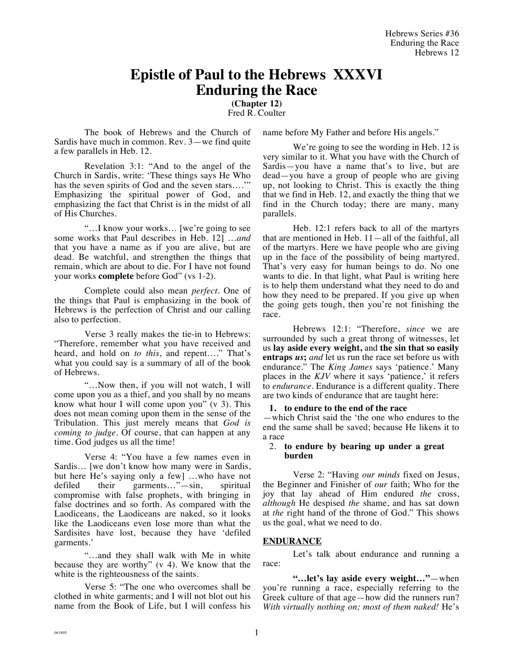# **Epistle of Paul to the Hebrews XXXVI Enduring the Race**

**(Chapter 12)**

Fred R. Coulter

The book of Hebrews and the Church of Sardis have much in common. Rev. 3—we find quite a few parallels in Heb. 12.

Revelation 3:1: "And to the angel of the Church in Sardis, write: 'These things says He Who has the seven spirits of God and the seven stars...." Emphasizing the spiritual power of God, and emphasizing the fact that Christ is in the midst of all of His Churches.

"…I know your works… [we're going to see some works that Paul describes in Heb. 12] …*and* that you have a name as if you are alive, but are dead. Be watchful, and strengthen the things that remain, which are about to die. For I have not found your works **complete** before God" (vs 1-2).

Complete could also mean *perfect.* One of the things that Paul is emphasizing in the book of Hebrews is the perfection of Christ and our calling also to perfection.

Verse 3 really makes the tie-in to Hebrews: "Therefore, remember what you have received and heard, and hold on *to this*, and repent…." That's what you could say is a summary of all of the book of Hebrews.

"…Now then, if you will not watch, I will come upon you as a thief, and you shall by no means know what hour I will come upon you"  $(v 3)$ . This does not mean coming upon them in the sense of the Tribulation. This just merely means that *God is coming to judge.* Of course, that can happen at any time. God judges us all the time!

Verse 4: "You have a few names even in Sardis… [we don't know how many were in Sardis, but here He's saying only a few] …who have not defiled their garments…"—sin, spiritual compromise with false prophets, with bringing in false doctrines and so forth. As compared with the Laodiceans, the Laodiceans are naked, so it looks like the Laodiceans even lose more than what the Sardisites have lost, because they have 'defiled garments.'

"…and they shall walk with Me in white because they are worthy" (v 4). We know that the white is the righteousness of the saints.

Verse 5: "The one who overcomes shall be clothed in white garments; and I will not blot out his name from the Book of Life, but I will confess his name before My Father and before His angels."

We're going to see the wording in Heb. 12 is very similar to it. What you have with the Church of Sardis—you have a name that's to live, but are dead—you have a group of people who are giving up, not looking to Christ. This is exactly the thing that we find in Heb. 12, and exactly the thing that we find in the Church today; there are many, many parallels.

Heb. 12:1 refers back to all of the martyrs that are mentioned in Heb. 11—all of the faithful, all of the martyrs. Here we have people who are giving up in the face of the possibility of being martyred. That's very easy for human beings to do. No one wants to die. In that light, what Paul is writing here is to help them understand what they need to do and how they need to be prepared. If you give up when the going gets tough, then you're not finishing the race.

Hebrews 12:1: "Therefore, *since* we are surrounded by such a great throng of witnesses, let us **lay aside every weight,** and **the sin that so easily entraps** *us***;** *and* let us run the race set before us with endurance." The *King James* says 'patience.' Many places in the *KJV* where it says 'patience,' it refers to *endurance*. Endurance is a different quality. There are two kinds of endurance that are taught here:

## **1. to endure to the end of the race**

—which Christ said the 'the one who endures to the end the same shall be saved; because He likens it to a race

## 2. **to endure by bearing up under a great burden**

Verse 2: "Having *our minds* fixed on Jesus, the Beginner and Finisher of *our* faith; Who for the joy that lay ahead of Him endured *the* cross, *although* He despised *the* shame, and has sat down at *the* right hand of the throne of God." This shows us the goal, what we need to do.

## **ENDURANCE**

Let's talk about endurance and running a race:

**"…let's lay aside every weight…"**—when you're running a race, especially referring to the Greek culture of that age—how did the runners run? *With virtually nothing on; most of them naked!* He's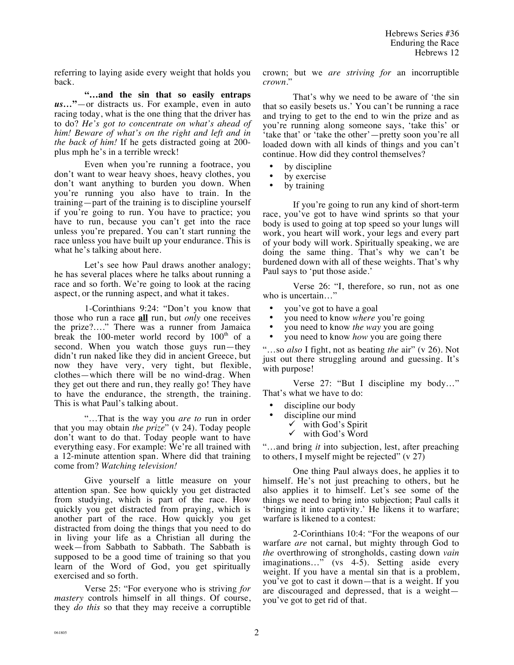referring to laying aside every weight that holds you back.

**"…and the sin that so easily entraps**  *us…***"**—or distracts us. For example, even in auto racing today, what is the one thing that the driver has to do? *He's got to concentrate on what's ahead of him! Beware of what's on the right and left and in the back of him!* If he gets distracted going at 200 plus mph he's in a terrible wreck!

Even when you're running a footrace, you don't want to wear heavy shoes, heavy clothes, you don't want anything to burden you down. When you're running you also have to train. In the training—part of the training is to discipline yourself if you're going to run. You have to practice; you have to run, because you can't get into the race unless you're prepared. You can't start running the race unless you have built up your endurance. This is what he's talking about here.

Let's see how Paul draws another analogy; he has several places where he talks about running a race and so forth. We're going to look at the racing aspect, or the running aspect, and what it takes.

1-Corinthians 9:24: "Don't you know that those who run a race **all** run, but *only* one receives the prize?…." There was a runner from Jamaica break the 100-meter world record by  $100<sup>th</sup>$  of a second. When you watch those guys run—they didn't run naked like they did in ancient Greece, but now they have very, very tight, but flexible, clothes—which there will be no wind-drag. When they get out there and run, they really go! They have to have the endurance, the strength, the training. This is what Paul's talking about.

"…That is the way you *are to* run in order that you may obtain *the prize*" (v 24). Today people don't want to do that. Today people want to have everything easy. For example: We're all trained with a 12-minute attention span. Where did that training come from? *Watching television!*

Give yourself a little measure on your attention span. See how quickly you get distracted from studying, which is part of the race. How quickly you get distracted from praying, which is another part of the race. How quickly you get distracted from doing the things that you need to do in living your life as a Christian all during the week—from Sabbath to Sabbath. The Sabbath is supposed to be a good time of training so that you learn of the Word of God, you get spiritually exercised and so forth.

Verse 25: "For everyone who is striving *for mastery* controls himself in all things. Of course, they *do this* so that they may receive a corruptible crown; but we *are striving for* an incorruptible *crown*."

That's why we need to be aware of 'the sin that so easily besets us.' You can't be running a race and trying to get to the end to win the prize and as you're running along someone says, 'take this' or 'take that' or 'take the other'—pretty soon you're all loaded down with all kinds of things and you can't continue. How did they control themselves?

- by discipline
- by exercise
- by training

If you're going to run any kind of short-term race, you've got to have wind sprints so that your body is used to going at top speed so your lungs will work, you heart will work, your legs and every part of your body will work. Spiritually speaking, we are doing the same thing. That's why we can't be burdened down with all of these weights. That's why Paul says to 'put those aside.'

Verse 26: "I, therefore, so run, not as one who is uncertain…"

- you've got to have a goal
- you need to know *where* you're going<br>• you need to know the way you are going
- you need to know *the way* you are going
- you need to know *how* you are going there

"…so *also* I fight, not as beating *the* air" (v 26). Not just out there struggling around and guessing. It's with purpose!

Verse 27: "But I discipline my body…" That's what we have to do:

- discipline our body
- discipline our mind
	- $\checkmark$  with God's Spirit
	- $\checkmark$  with God's Word

"…and bring *it* into subjection, lest, after preaching to others, I myself might be rejected" (v 27)

One thing Paul always does, he applies it to himself. He's not just preaching to others, but he also applies it to himself. Let's see some of the things we need to bring into subjection; Paul calls it 'bringing it into captivity.' He likens it to warfare; warfare is likened to a contest:

2-Corinthians 10:4: "For the weapons of our warfare *are* not carnal, but mighty through God to *the* overthrowing of strongholds, casting down *vain* imaginations…" (vs 4-5). Setting aside every weight. If you have a mental sin that is a problem, you've got to cast it down—that is a weight. If you are discouraged and depressed, that is a weight you've got to get rid of that.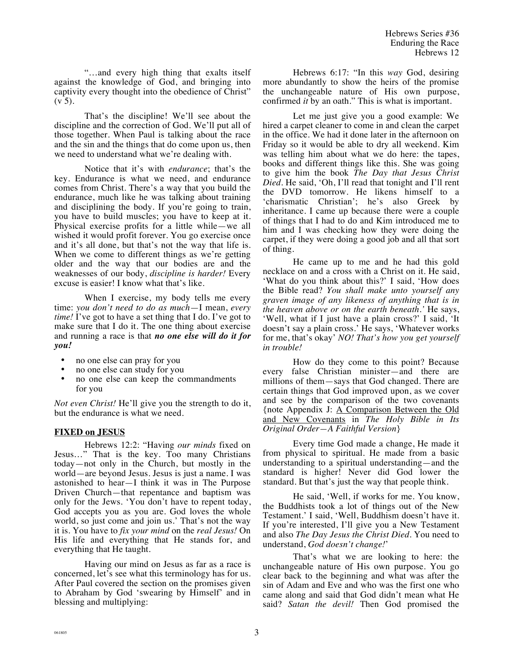"…and every high thing that exalts itself against the knowledge of God, and bringing into captivity every thought into the obedience of Christ"  $(v 5)$ .

That's the discipline! We'll see about the discipline and the correction of God. We'll put all of those together. When Paul is talking about the race and the sin and the things that do come upon us, then we need to understand what we're dealing with.

Notice that it's with *endurance*; that's the key. Endurance is what we need, and endurance comes from Christ. There's a way that you build the endurance, much like he was talking about training and disciplining the body. If you're going to train, you have to build muscles; you have to keep at it. Physical exercise profits for a little while—we all wished it would profit forever. You go exercise once and it's all done, but that's not the way that life is. When we come to different things as we're getting older and the way that our bodies are and the weaknesses of our body, *discipline is harder!* Every excuse is easier! I know what that's like.

When I exercise, my body tells me every time: *you don't need to do as much*—I mean, *every time!* I've got to have a set thing that I do. I've got to make sure that I do it. The one thing about exercise and running a race is that *no one else will do it for you!*

- no one else can pray for you
- no one else can study for you
- no one else can keep the commandments for you

*Not even Christ!* He'll give you the strength to do it, but the endurance is what we need.

## **FIXED on JESUS**

Hebrews 12:2: "Having *our minds* fixed on Jesus…" That is the key. Too many Christians today—not only in the Church, but mostly in the world—are beyond Jesus. Jesus is just a name. I was astonished to hear—I think it was in The Purpose Driven Church—that repentance and baptism was only for the Jews. 'You don't have to repent today, God accepts you as you are. God loves the whole world, so just come and join us.' That's not the way it is. You have to *fix your mind* on the *real Jesus!* On His life and everything that He stands for, and everything that He taught.

Having our mind on Jesus as far as a race is concerned, let's see what this terminology has for us. After Paul covered the section on the promises given to Abraham by God 'swearing by Himself' and in blessing and multiplying:

Hebrews 6:17: "In this *way* God, desiring more abundantly to show the heirs of the promise the unchangeable nature of His own purpose, confirmed *it* by an oath." This is what is important.

Let me just give you a good example: We hired a carpet cleaner to come in and clean the carpet in the office. We had it done later in the afternoon on Friday so it would be able to dry all weekend. Kim was telling him about what we do here: the tapes, books and different things like this. She was going to give him the book *The Day that Jesus Christ Died.* He said, 'Oh, I'll read that tonight and I'll rent the DVD tomorrow. He likens himself to a 'charismatic Christian'; he's also Greek by inheritance. I came up because there were a couple of things that I had to do and Kim introduced me to him and I was checking how they were doing the carpet, if they were doing a good job and all that sort of thing.

He came up to me and he had this gold necklace on and a cross with a Christ on it. He said, 'What do you think about this?' I said, 'How does the Bible read? *You shall make unto yourself any graven image of any likeness of anything that is in the heaven above or on the earth beneath.'* He says, 'Well, what if I just have a plain cross?' I said, 'It doesn't say a plain cross.' He says, 'Whatever works for me, that's okay' *NO! That's how you get yourself in trouble!*

How do they come to this point? Because every false Christian minister—and there are millions of them—says that God changed. There are certain things that God improved upon, as we cover and see by the comparison of the two covenants {note Appendix J: A Comparison Between the Old and New Covenants in *The Holy Bible in Its Original Order—A Faithful Version*}

Every time God made a change, He made it from physical to spiritual. He made from a basic understanding to a spiritual understanding—and the standard is higher! Never did God lower the standard. But that's just the way that people think.

He said, 'Well, if works for me. You know, the Buddhists took a lot of things out of the New Testament.' I said, 'Well, Buddhism doesn't have it. If you're interested, I'll give you a New Testament and also *The Day Jesus the Christ Died*. You need to understand, *God doesn't change!*'

That's what we are looking to here: the unchangeable nature of His own purpose. You go clear back to the beginning and what was after the sin of Adam and Eve and who was the first one who came along and said that God didn't mean what He said? *Satan the devil!* Then God promised the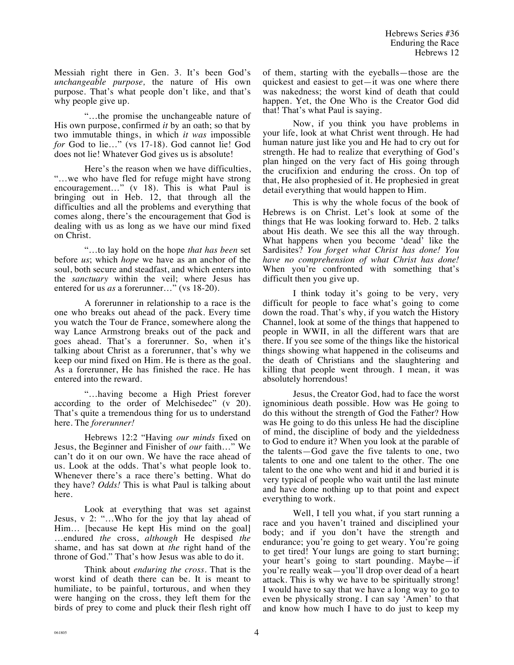Messiah right there in Gen. 3. It's been God's *unchangeable purpose,* the nature of His own purpose. That's what people don't like, and that's why people give up.

"…the promise the unchangeable nature of His own purpose, confirmed *it* by an oath; so that by two immutable things, in which *it was* impossible *for* God to lie..." (vs 17-18). God cannot lie! God does not lie! Whatever God gives us is absolute!

Here's the reason when we have difficulties, "…we who have fled for refuge might have strong encouragement…" (v 18). This is what Paul is bringing out in Heb. 12, that through all the difficulties and all the problems and everything that comes along, there's the encouragement that God is dealing with us as long as we have our mind fixed on Christ.

"…to lay hold on the hope *that has been* set before *us*; which *hope* we have as an anchor of the soul, both secure and steadfast, and which enters into the *sanctuary* within the veil; where Jesus has entered for us *as* a forerunner…" (vs 18-20).

A forerunner in relationship to a race is the one who breaks out ahead of the pack. Every time you watch the Tour de France, somewhere along the way Lance Armstrong breaks out of the pack and goes ahead. That's a forerunner. So, when it's talking about Christ as a forerunner, that's why we keep our mind fixed on Him. He is there as the goal. As a forerunner, He has finished the race. He has entered into the reward.

"…having become a High Priest forever according to the order of Melchisedec" (v 20). That's quite a tremendous thing for us to understand here. The *forerunner!*

Hebrews 12:2 "Having *our minds* fixed on Jesus, the Beginner and Finisher of *our* faith…" We can't do it on our own. We have the race ahead of us. Look at the odds. That's what people look to. Whenever there's a race there's betting. What do they have? *Odds!* This is what Paul is talking about here.

Look at everything that was set against Jesus, v 2: "…Who for the joy that lay ahead of Him… [because He kept His mind on the goal] …endured *the* cross, *although* He despised *the* shame, and has sat down at *the* right hand of the throne of God." That's how Jesus was able to do it.

Think about *enduring the cross.* That is the worst kind of death there can be. It is meant to humiliate, to be painful, torturous, and when they were hanging on the cross, they left them for the birds of prey to come and pluck their flesh right off of them, starting with the eyeballs—those are the quickest and easiest to get—it was one where there was nakedness; the worst kind of death that could happen. Yet, the One Who is the Creator God did that! That's what Paul is saying.

Now, if you think you have problems in your life, look at what Christ went through. He had human nature just like you and He had to cry out for strength. He had to realize that everything of God's plan hinged on the very fact of His going through the crucifixion and enduring the cross. On top of that, He also prophesied of it. He prophesied in great detail everything that would happen to Him.

This is why the whole focus of the book of Hebrews is on Christ. Let's look at some of the things that He was looking forward to. Heb. 2 talks about His death. We see this all the way through. What happens when you become 'dead' like the Sardisites? *You forget what Christ has done! You have no comprehension of what Christ has done!* When you're confronted with something that's difficult then you give up.

I think today it's going to be very, very difficult for people to face what's going to come down the road. That's why, if you watch the History Channel, look at some of the things that happened to people in WWII, in all the different wars that are there. If you see some of the things like the historical things showing what happened in the coliseums and the death of Christians and the slaughtering and killing that people went through. I mean, it was absolutely horrendous!

Jesus, the Creator God, had to face the worst ignominious death possible. How was He going to do this without the strength of God the Father? How was He going to do this unless He had the discipline of mind, the discipline of body and the yieldedness to God to endure it? When you look at the parable of the talents—God gave the five talents to one, two talents to one and one talent to the other. The one talent to the one who went and hid it and buried it is very typical of people who wait until the last minute and have done nothing up to that point and expect everything to work.

Well, I tell you what, if you start running a race and you haven't trained and disciplined your body; and if you don't have the strength and endurance; you're going to get weary. You're going to get tired! Your lungs are going to start burning; your heart's going to start pounding. Maybe—if you're really weak—you'll drop over dead of a heart attack. This is why we have to be spiritually strong! I would have to say that we have a long way to go to even be physically strong. I can say 'Amen' to that and know how much I have to do just to keep my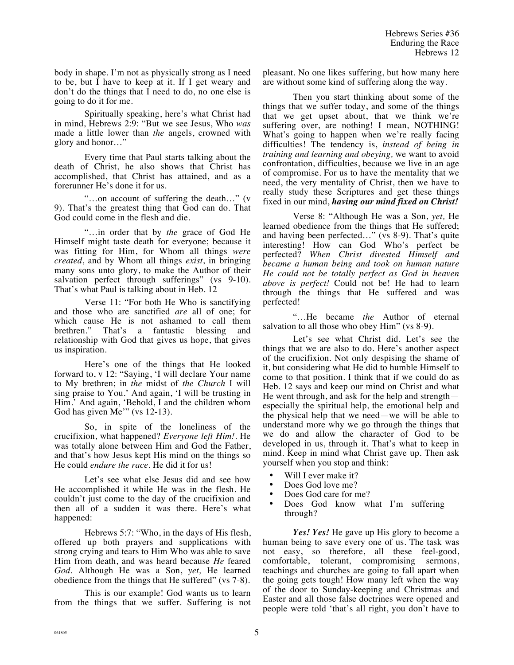body in shape. I'm not as physically strong as I need to be, but I have to keep at it. If I get weary and don't do the things that  $\overline{I}$  need to do, no one else is going to do it for me.

Spiritually speaking, here's what Christ had in mind, Hebrews 2:9: "But we see Jesus, Who *was* made a little lower than *the* angels, crowned with glory and honor…"

Every time that Paul starts talking about the death of Christ, he also shows that Christ has accomplished, that Christ has attained, and as a forerunner He's done it for us.

"…on account of suffering the death…" (v 9). That's the greatest thing that God can do. That God could come in the flesh and die.

"…in order that by *the* grace of God He Himself might taste death for everyone; because it was fitting for Him, for Whom all things *were created*, and by Whom all things *exist*, in bringing many sons unto glory, to make the Author of their salvation perfect through sufferings" (vs 9-10). That's what Paul is talking about in Heb. 12

Verse 11: "For both He Who is sanctifying and those who are sanctified *are* all of one; for which cause He is not ashamed to call them brethren." That's a fantastic blessing and relationship with God that gives us hope, that gives us inspiration.

Here's one of the things that He looked forward to, v 12: "Saying, 'I will declare Your name to My brethren; in *the* midst of *the Church* I will sing praise to You.' And again, 'I will be trusting in Him.' And again, 'Behold, I and the children whom God has given Me<sup>\*\*\*</sup> (vs 12-13).

So, in spite of the loneliness of the crucifixion, what happened? *Everyone left Him!.* He was totally alone between Him and God the Father, and that's how Jesus kept His mind on the things so He could *endure the race*. He did it for us!

Let's see what else Jesus did and see how He accomplished it while He was in the flesh. He couldn't just come to the day of the crucifixion and then all of a sudden it was there. Here's what happened:

Hebrews 5:7: "Who, in the days of His flesh, offered up both prayers and supplications with strong crying and tears to Him Who was able to save Him from death, and was heard because *He* feared *God*. Although He was a Son, *yet,* He learned obedience from the things that He suffered" (vs 7-8).

This is our example! God wants us to learn from the things that we suffer. Suffering is not pleasant. No one likes suffering, but how many here are without some kind of suffering along the way.

Then you start thinking about some of the things that we suffer today, and some of the things that we get upset about, that we think we're suffering over, are nothing! I mean, NOTHING! What's going to happen when we're really facing difficulties! The tendency is, *instead of being in training and learning and obeying,* we want to avoid confrontation, difficulties, because we live in an age of compromise. For us to have the mentality that we need, the very mentality of Christ, then we have to really study these Scriptures and get these things fixed in our mind, *having our mind fixed on Christ!*

Verse 8: "Although He was a Son, *yet,* He learned obedience from the things that He suffered; and having been perfected…" (vs 8-9). That's quite interesting! How can God Who's perfect be perfected? *When Christ divested Himself and became a human being and took on human nature He could not be totally perfect as God in heaven above is perfect!* Could not be! He had to learn through the things that He suffered and was perfected!

"…He became *the* Author of eternal salvation to all those who obey Him" (vs 8-9).

Let's see what Christ did. Let's see the things that we are also to do. Here's another aspect of the crucifixion. Not only despising the shame of it, but considering what He did to humble Himself to come to that position. I think that if we could do as Heb. 12 says and keep our mind on Christ and what He went through, and ask for the help and strength especially the spiritual help, the emotional help and the physical help that we need—we will be able to understand more why we go through the things that we do and allow the character of God to be developed in us, through it. That's what to keep in mind. Keep in mind what Christ gave up. Then ask yourself when you stop and think:

- Will I ever make it?
- 
- Does God love me?<br>• Does God care for m Does God care for me?
- Does God know what I'm suffering through?

*Yes! Yes!* He gave up His glory to become a human being to save every one of us. The task was not easy, so therefore, all these feel-good, comfortable, tolerant, compromising sermons, teachings and churches are going to fall apart when the going gets tough! How many left when the way of the door to Sunday-keeping and Christmas and Easter and all those false doctrines were opened and people were told 'that's all right, you don't have to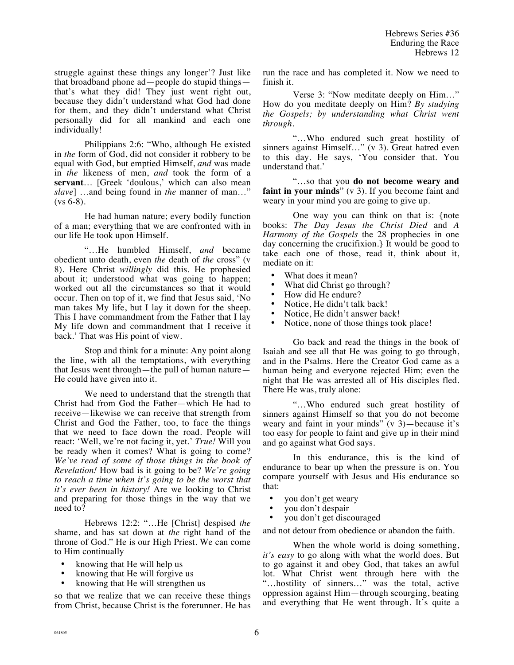struggle against these things any longer'? Just like that broadband phone ad—people do stupid things that's what they did! They just went right out, because they didn't understand what God had done for them, and they didn't understand what Christ personally did for all mankind and each one individually!

Philippians 2:6: "Who, although He existed in *the* form of God, did not consider it robbery to be equal with God, but emptied Himself, *and* was made in *the* likeness of men, *and* took the form of a **servant**… [Greek 'doulous,' which can also mean *slave*] …and being found in *the* manner of man…"  $(vs 6-8)$ .

He had human nature; every bodily function of a man; everything that we are confronted with in our life He took upon Himself.

"…He humbled Himself, *and* became obedient unto death, even *the* death of *the* cross" (v 8). Here Christ *willingly* did this. He prophesied about it; understood what was going to happen; worked out all the circumstances so that it would occur. Then on top of it, we find that Jesus said, 'No man takes My life, but I lay it down for the sheep. This I have commandment from the Father that I lay My life down and commandment that I receive it back.' That was His point of view.

Stop and think for a minute: Any point along the line, with all the temptations, with everything that Jesus went through—the pull of human nature— He could have given into it.

We need to understand that the strength that Christ had from God the Father—which He had to receive—likewise we can receive that strength from Christ and God the Father, too, to face the things that we need to face down the road. People will react: 'Well, we're not facing it, yet.' *True!* Will you be ready when it comes? What is going to come? *We've read of some of those things in the book of Revelation!* How bad is it going to be? *We're going to reach a time when it's going to be the worst that it's ever been in history!* Are we looking to Christ and preparing for those things in the way that we need to?

Hebrews 12:2: "…He [Christ] despised *the* shame, and has sat down at *the* right hand of the throne of God." He is our High Priest. We can come to Him continually

- knowing that He will help us
- knowing that He will forgive us
- knowing that He will strengthen us

so that we realize that we can receive these things from Christ, because Christ is the forerunner. He has run the race and has completed it. Now we need to finish it.

Verse 3: "Now meditate deeply on Him…" How do you meditate deeply on Him? *By studying the Gospels; by understanding what Christ went through*.

"…Who endured such great hostility of sinners against Himself..." (v 3). Great hatred even to this day. He says, 'You consider that. You understand that.'

"…so that you **do not become weary and faint in your minds**" (v 3). If you become faint and weary in your mind you are going to give up.

One way you can think on that is: {note books: *The Day Jesus the Christ Died* and *A Harmony of the Gospels* the 28 prophecies in one day concerning the crucifixion.} It would be good to take each one of those, read it, think about it, mediate on it:

- What does it mean?
- What did Christ go through?<br>• How did He endure?
- How did He endure?
- Notice, He didn't talk back!
- Notice, He didn't answer back!
- Notice, none of those things took place!

Go back and read the things in the book of Isaiah and see all that He was going to go through, and in the Psalms. Here the Creator God came as a human being and everyone rejected Him; even the night that He was arrested all of His disciples fled. There He was, truly alone:

"…Who endured such great hostility of sinners against Himself so that you do not become weary and faint in your minds"  $(v \ 3)$ —because it's too easy for people to faint and give up in their mind and go against what God says.

In this endurance, this is the kind of endurance to bear up when the pressure is on. You compare yourself with Jesus and His endurance so that:

- you don't get weary
- you don't despair
- you don't get discouraged

and not detour from obedience or abandon the faith.

When the whole world is doing something, *it's easy* to go along with what the world does. But to go against it and obey God, that takes an awful lot. What Christ went through here with the "…hostility of sinners…" was the total, active oppression against Him—through scourging, beating and everything that He went through. It's quite a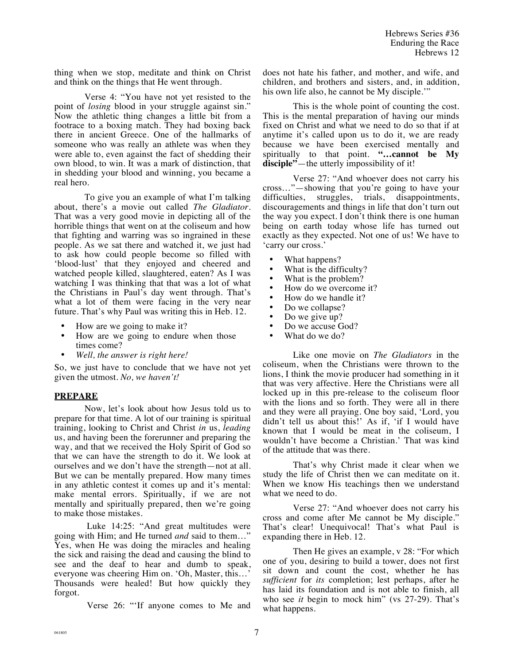thing when we stop, meditate and think on Christ and think on the things that He went through.

Verse 4: "You have not yet resisted to the point of *losing* blood in your struggle against sin." Now the athletic thing changes a little bit from a footrace to a boxing match. They had boxing back there in ancient Greece. One of the hallmarks of someone who was really an athlete was when they were able to, even against the fact of shedding their own blood, to win. It was a mark of distinction, that in shedding your blood and winning, you became a real hero.

To give you an example of what I'm talking about, there's a movie out called *The Gladiator.* That was a very good movie in depicting all of the horrible things that went on at the coliseum and how that fighting and warring was so ingrained in these people. As we sat there and watched it, we just had to ask how could people become so filled with 'blood-lust' that they enjoyed and cheered and watched people killed, slaughtered, eaten? As I was watching I was thinking that that was a lot of what the Christians in Paul's day went through. That's what a lot of them were facing in the very near future. That's why Paul was writing this in Heb. 12.

- How are we going to make it?
- How are we going to endure when those times come?
- *Well, the answer is right here!*

So, we just have to conclude that we have not yet given the utmost. *No, we haven't!*

#### **PREPARE**

Now, let's look about how Jesus told us to prepare for that time. A lot of our training is spiritual training, looking to Christ and Christ *in* us, *leading*  us, and having been the forerunner and preparing the way, and that we received the Holy Spirit of God so that we can have the strength to do it. We look at ourselves and we don't have the strength—not at all. But we can be mentally prepared. How many times in any athletic contest it comes up and it's mental: make mental errors. Spiritually, if we are not mentally and spiritually prepared, then we're going to make those mistakes.

 Luke 14:25: "And great multitudes were going with Him; and He turned *and* said to them…" Yes, when He was doing the miracles and healing the sick and raising the dead and causing the blind to see and the deaf to hear and dumb to speak, everyone was cheering Him on. 'Oh, Master, this…' Thousands were healed! But how quickly they forgot.

Verse 26: "'If anyone comes to Me and

does not hate his father, and mother, and wife, and children, and brothers and sisters, and, in addition, his own life also, he cannot be My disciple.'"

This is the whole point of counting the cost. This is the mental preparation of having our minds fixed on Christ and what we need to do so that if at anytime it's called upon us to do it, we are ready because we have been exercised mentally and spiritually to that point. **"…cannot be My**  disciple<sup>"</sup>—the utterly impossibility of it!

Verse 27: "And whoever does not carry his cross…"—showing that you're going to have your difficulties, struggles, trials, disappointments, discouragements and things in life that don't turn out the way you expect. I don't think there is one human being on earth today whose life has turned out exactly as they expected. Not one of us! We have to 'carry our cross.'

- What happens?
- What is the difficulty?
- What is the problem?
- How do we overcome it?
- How do we handle it?
- Do we collapse?
- Do we give up?
- Do we accuse God?
- What do we do?

Like one movie on *The Gladiators* in the coliseum, when the Christians were thrown to the lions, I think the movie producer had something in it that was very affective. Here the Christians were all locked up in this pre-release to the coliseum floor with the lions and so forth. They were all in there and they were all praying. One boy said, 'Lord, you didn't tell us about this!' As if, 'if I would have known that I would be meat in the coliseum, I wouldn't have become a Christian.' That was kind of the attitude that was there.

That's why Christ made it clear when we study the life of Christ then we can meditate on it. When we know His teachings then we understand what we need to do.

Verse 27: "And whoever does not carry his cross and come after Me cannot be My disciple." That's clear! Unequivocal! That's what Paul is expanding there in Heb. 12.

Then He gives an example, v 28: "For which one of you, desiring to build a tower, does not first sit down and count the cost, whether he has *sufficient* for *its* completion; lest perhaps, after he has laid its foundation and is not able to finish, all who see *it* begin to mock him" (vs 27-29). That's what happens.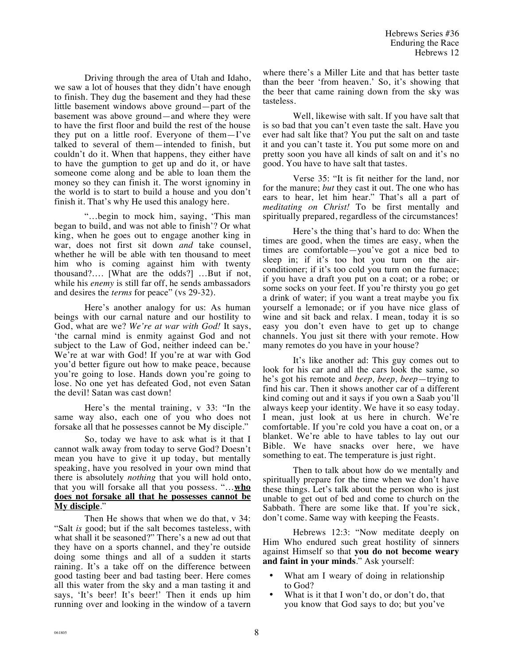Driving through the area of Utah and Idaho, we saw a lot of houses that they didn't have enough to finish. They dug the basement and they had these little basement windows above ground—part of the basement was above ground—and where they were to have the first floor and build the rest of the house they put on a little roof. Everyone of them—I've talked to several of them—intended to finish, but couldn't do it. When that happens, they either have to have the gumption to get up and do it, or have someone come along and be able to loan them the money so they can finish it. The worst ignominy in the world is to start to build a house and you don't finish it. That's why He used this analogy here.

"…begin to mock him, saying, 'This man began to build, and was not able to finish'? Or what king, when he goes out to engage another king in war, does not first sit down *and* take counsel, whether he will be able with ten thousand to meet him who is coming against him with twenty thousand?…. [What are the odds?] …But if not, while his *enemy* is still far off, he sends ambassadors and desires the *terms* for peace" (vs 29-32).

Here's another analogy for us: As human beings with our carnal nature and our hostility to God, what are we? *We're at war with God!* It says, 'the carnal mind is enmity against God and not subject to the Law of God, neither indeed can be.' We're at war with God! If you're at war with God you'd better figure out how to make peace, because you're going to lose. Hands down you're going to lose. No one yet has defeated God, not even Satan the devil! Satan was cast down!

Here's the mental training, v 33: "In the same way also, each one of you who does not forsake all that he possesses cannot be My disciple."

So, today we have to ask what is it that I cannot walk away from today to serve God? Doesn't mean you have to give it up today, but mentally speaking, have you resolved in your own mind that there is absolutely *nothing* that you will hold onto, that you will forsake all that you possess. "…**who does not forsake all that he possesses cannot be My disciple**."

Then He shows that when we do that, v 34: "Salt *is* good; but if the salt becomes tasteless, with what shall it be seasoned?" There's a new ad out that they have on a sports channel, and they're outside doing some things and all of a sudden it starts raining. It's a take off on the difference between good tasting beer and bad tasting beer. Here comes all this water from the sky and a man tasting it and says, 'It's beer! It's beer!' Then it ends up him running over and looking in the window of a tavern where there's a Miller Lite and that has better taste than the beer 'from heaven.' So, it's showing that the beer that came raining down from the sky was tasteless.

Well, likewise with salt. If you have salt that is so bad that you can't even taste the salt. Have you ever had salt like that? You put the salt on and taste it and you can't taste it. You put some more on and pretty soon you have all kinds of salt on and it's no good. You have to have salt that tastes.

Verse 35: "It is fit neither for the land, nor for the manure; *but* they cast it out. The one who has ears to hear, let him hear." That's all a part of *meditating on Christ!* To be first mentally and spiritually prepared, regardless of the circumstances!

Here's the thing that's hard to do: When the times are good, when the times are easy, when the times are comfortable—you've got a nice bed to sleep in; if it's too hot you turn on the airconditioner; if it's too cold you turn on the furnace; if you have a draft you put on a coat; or a robe; or some socks on your feet. If you're thirsty you go get a drink of water; if you want a treat maybe you fix yourself a lemonade; or if you have nice glass of wine and sit back and relax. I mean, today it is so easy you don't even have to get up to change channels. You just sit there with your remote. How many remotes do you have in your house?

It's like another ad: This guy comes out to look for his car and all the cars look the same, so he's got his remote and *beep, beep, beep*—trying to find his car. Then it shows another car of a different kind coming out and it says if you own a Saab you'll always keep your identity. We have it so easy today. I mean, just look at us here in church. We're comfortable. If you're cold you have a coat on, or a blanket. We're able to have tables to lay out our Bible. We have snacks over here, we have something to eat. The temperature is just right.

Then to talk about how do we mentally and spiritually prepare for the time when we don't have these things. Let's talk about the person who is just unable to get out of bed and come to church on the Sabbath. There are some like that. If you're sick, don't come. Same way with keeping the Feasts.

Hebrews 12:3: "Now meditate deeply on Him Who endured such great hostility of sinners against Himself so that **you do not become weary and faint in your minds**." Ask yourself:

- What am I weary of doing in relationship to God?
- What is it that I won't do, or don't do, that you know that God says to do; but you've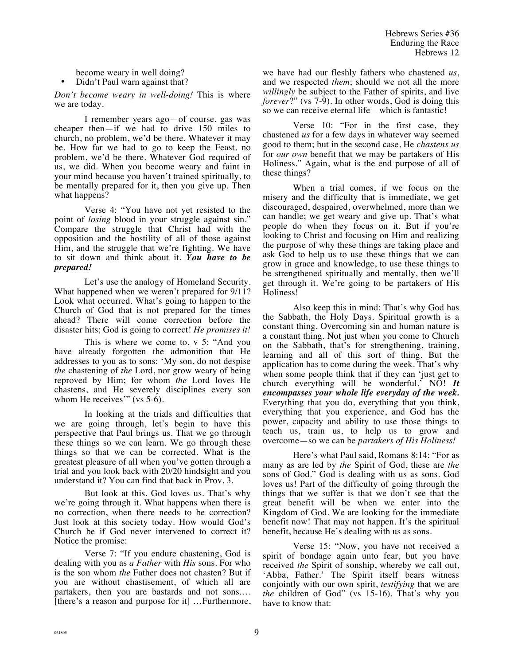become weary in well doing?

Didn't Paul warn against that?

*Don't become weary in well-doing!* This is where we are today.

I remember years ago—of course, gas was cheaper then—if we had to drive 150 miles to church, no problem, we'd be there. Whatever it may be. How far we had to go to keep the Feast, no problem, we'd be there. Whatever God required of us, we did. When you become weary and faint in your mind because you haven't trained spiritually, to be mentally prepared for it, then you give up. Then what happens?

Verse 4: "You have not yet resisted to the point of *losing* blood in your struggle against sin." Compare the struggle that Christ had with the opposition and the hostility of all of those against Him, and the struggle that we're fighting. We have to sit down and think about it. *You have to be prepared!* 

Let's use the analogy of Homeland Security. What happened when we weren't prepared for 9/11? Look what occurred. What's going to happen to the Church of God that is not prepared for the times ahead? There will come correction before the disaster hits; God is going to correct! *He promises it!* 

This is where we come to, v 5: "And you have already forgotten the admonition that He addresses to you as to sons: 'My son, do not despise *the* chastening of *the* Lord, nor grow weary of being reproved by Him; for whom *the* Lord loves He chastens, and He severely disciplines every son whom He receives'" (vs 5-6).

In looking at the trials and difficulties that we are going through, let's begin to have this perspective that Paul brings us. That we go through these things so we can learn. We go through these things so that we can be corrected. What is the greatest pleasure of all when you've gotten through a trial and you look back with 20/20 hindsight and you understand it? You can find that back in Prov. 3.

But look at this. God loves us. That's why we're going through it. What happens when there is no correction, when there needs to be correction? Just look at this society today. How would God's Church be if God never intervened to correct it? Notice the promise:

Verse 7: "If you endure chastening, God is dealing with you as *a Father* with *His* sons. For who is the son whom *the* Father does not chasten? But if you are without chastisement, of which all are partakers, then you are bastards and not sons…. [there's a reason and purpose for it] …Furthermore, we have had our fleshly fathers who chastened *us*, and we respected *them*; should we not all the more *willingly* be subject to the Father of spirits, and live *forever*?" (vs 7-9). In other words, God is doing this so we can receive eternal life—which is fantastic!

Verse 10: "For in the first case, they chastened *us* for a few days in whatever way seemed good to them; but in the second case, He *chastens us* for *our own* benefit that we may be partakers of His Holiness." Again, what is the end purpose of all of these things?

When a trial comes, if we focus on the misery and the difficulty that is immediate, we get discouraged, despaired, overwhelmed, more than we can handle; we get weary and give up. That's what people do when they focus on it. But if you're looking to Christ and focusing on Him and realizing the purpose of why these things are taking place and ask God to help us to use these things that we can grow in grace and knowledge, to use these things to be strengthened spiritually and mentally, then we'll get through it. We're going to be partakers of His Holiness!

Also keep this in mind: That's why God has the Sabbath, the Holy Days. Spiritual growth is a constant thing. Overcoming sin and human nature is a constant thing. Not just when you come to Church on the Sabbath, that's for strengthening, training, learning and all of this sort of thing. But the application has to come during the week. That's why when some people think that if they can 'just get to church everything will be wonderful.' NO! *It encompasses your whole life everyday of the week.* Everything that you do, everything that you think, everything that you experience, and God has the power, capacity and ability to use those things to teach us, train us, to help us to grow and overcome—so we can be *partakers of His Holiness!*

Here's what Paul said, Romans 8:14: "For as many as are led by *the* Spirit of God, these are *the* sons of God." God is dealing with us as sons. God loves us! Part of the difficulty of going through the things that we suffer is that we don't see that the great benefit will be when we enter into the Kingdom of God. We are looking for the immediate benefit now! That may not happen. It's the spiritual benefit, because He's dealing with us as sons.

Verse 15: "Now, you have not received a spirit of bondage again unto fear, but you have received *the* Spirit of sonship, whereby we call out, 'Abba, Father.' The Spirit itself bears witness conjointly with our own spirit, *testifying* that we are *the* children of God" (vs 15-16). That's why you have to know that: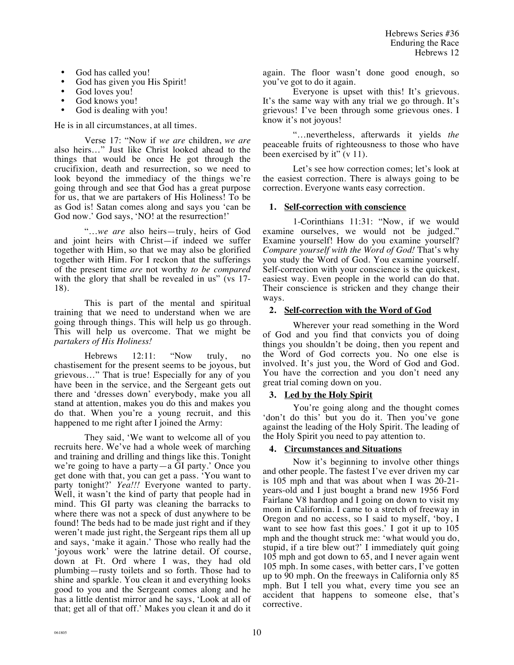- God has called you!
- God has given you His Spirit!
- God loves you!
- God knows you!
- God is dealing with you!

He is in all circumstances, at all times.

Verse 17: "Now if *we are* children, *we are* also heirs…" Just like Christ looked ahead to the things that would be once He got through the crucifixion, death and resurrection, so we need to look beyond the immediacy of the things we're going through and see that God has a great purpose for us, that we are partakers of His Holiness! To be as God is! Satan comes along and says you 'can be God now.' God says, 'NO! at the resurrection!'

"…*we are* also heirs—truly, heirs of God and joint heirs with Christ—if indeed we suffer together with Him, so that we may also be glorified together with Him. For I reckon that the sufferings of the present time *are* not worthy *to be compared* with the glory that shall be revealed in us" (vs 17-18).

This is part of the mental and spiritual training that we need to understand when we are going through things. This will help us go through. This will help us overcome. That we might be *partakers of His Holiness!*

Hebrews 12:11: "Now truly, no chastisement for the present seems to be joyous, but grievous…" That is true! Especially for any of you have been in the service, and the Sergeant gets out there and 'dresses down' everybody, make you all stand at attention, makes you do this and makes you do that. When you're a young recruit, and this happened to me right after I joined the Army:

They said, 'We want to welcome all of you recruits here. We've had a whole week of marching and training and drilling and things like this. Tonight we're going to have a party—a GI party.' Once you get done with that, you can get a pass. 'You want to party tonight?' *Yea!!!* Everyone wanted to party. Well, it wasn't the kind of party that people had in mind. This GI party was cleaning the barracks to where there was not a speck of dust anywhere to be found! The beds had to be made just right and if they weren't made just right, the Sergeant rips them all up and says, 'make it again.' Those who really had the 'joyous work' were the latrine detail. Of course, down at Ft. Ord where I was, they had old plumbing—rusty toilets and so forth. Those had to shine and sparkle. You clean it and everything looks good to you and the Sergeant comes along and he has a little dentist mirror and he says, 'Look at all of that; get all of that off.' Makes you clean it and do it again. The floor wasn't done good enough, so you've got to do it again.

Everyone is upset with this! It's grievous. It's the same way with any trial we go through. It's grievous! I've been through some grievous ones. I know it's not joyous!

"…nevertheless, afterwards it yields *the* peaceable fruits of righteousness to those who have been exercised by it"  $(v 11)$ .

Let's see how correction comes; let's look at the easiest correction. There is always going to be correction. Everyone wants easy correction.

## **1. Self-correction with conscience**

1-Corinthians 11:31: "Now, if we would examine ourselves, we would not be judged*.*" Examine yourself! How do you examine yourself? *Compare yourself with the Word of God!* That's why you study the Word of God. You examine yourself. Self-correction with your conscience is the quickest, easiest way. Even people in the world can do that. Their conscience is stricken and they change their ways.

## **2. Self-correction with the Word of God**

Wherever your read something in the Word of God and you find that convicts you of doing things you shouldn't be doing, then you repent and the Word of God corrects you. No one else is involved. It's just you, the Word of God and God. You have the correction and you don't need any great trial coming down on you.

## **3. Led by the Holy Spirit**

You're going along and the thought comes 'don't do this' but you do it. Then you've gone against the leading of the Holy Spirit. The leading of the Holy Spirit you need to pay attention to.

## **4. Circumstances and Situations**

Now it's beginning to involve other things and other people. The fastest I've ever driven my car is 105 mph and that was about when I was 20-21 years-old and I just bought a brand new 1956 Ford Fairlane V8 hardtop and I going on down to visit my mom in California. I came to a stretch of freeway in Oregon and no access, so I said to myself, 'boy, I want to see how fast this goes.' I got it up to 105 mph and the thought struck me: 'what would you do, stupid, if a tire blew out?' I immediately quit going 105 mph and got down to 65, and I never again went 105 mph. In some cases, with better cars, I've gotten up to 90 mph. On the freeways in California only 85 mph. But I tell you what, every time you see an accident that happens to someone else, that's corrective.